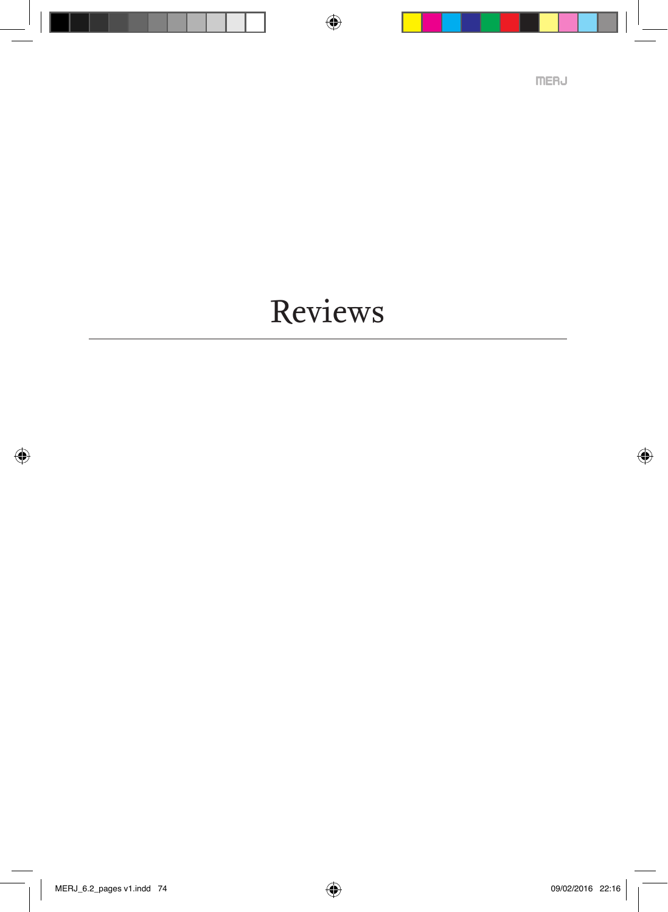Reviews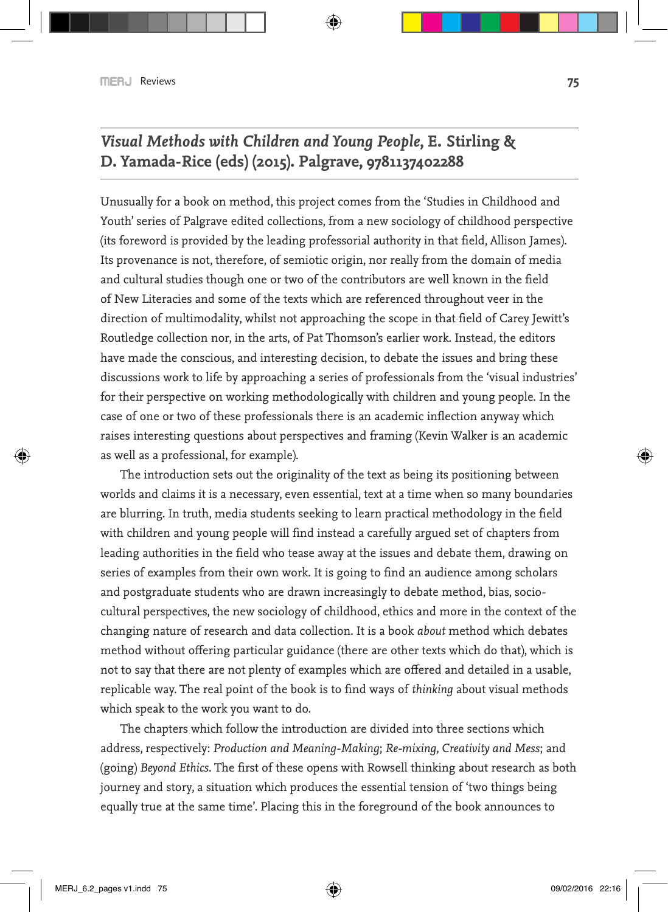# *Visual Methods with Children and Young People***, E. Stirling & D. Yamada-Rice (eds) (2015). Palgrave, 9781137402288**

Unusually for a book on method, this project comes from the 'Studies in Childhood and Youth' series of Palgrave edited collections, from a new sociology of childhood perspective (its foreword is provided by the leading professorial authority in that field, Allison James). Its provenance is not, therefore, of semiotic origin, nor really from the domain of media and cultural studies though one or two of the contributors are well known in the field of New Literacies and some of the texts which are referenced throughout veer in the direction of multimodality, whilst not approaching the scope in that field of Carey Jewitt's Routledge collection nor, in the arts, of Pat Thomson's earlier work. Instead, the editors have made the conscious, and interesting decision, to debate the issues and bring these discussions work to life by approaching a series of professionals from the 'visual industries' for their perspective on working methodologically with children and young people. In the case of one or two of these professionals there is an academic inflection anyway which raises interesting questions about perspectives and framing (Kevin Walker is an academic as well as a professional, for example).

The introduction sets out the originality of the text as being its positioning between worlds and claims it is a necessary, even essential, text at a time when so many boundaries are blurring. In truth, media students seeking to learn practical methodology in the field with children and young people will find instead a carefully argued set of chapters from leading authorities in the field who tease away at the issues and debate them, drawing on series of examples from their own work. It is going to find an audience among scholars and postgraduate students who are drawn increasingly to debate method, bias, sociocultural perspectives, the new sociology of childhood, ethics and more in the context of the changing nature of research and data collection. It is a book *about* method which debates method without offering particular guidance (there are other texts which do that), which is not to say that there are not plenty of examples which are offered and detailed in a usable, replicable way. The real point of the book is to find ways of *thinking* about visual methods which speak to the work you want to do.

The chapters which follow the introduction are divided into three sections which address, respectively: *Production and Meaning-Making*; *Re-mixing, Creativity and Mess*; and (going) *Beyond Ethics*. The first of these opens with Rowsell thinking about research as both journey and story, a situation which produces the essential tension of 'two things being equally true at the same time'. Placing this in the foreground of the book announces to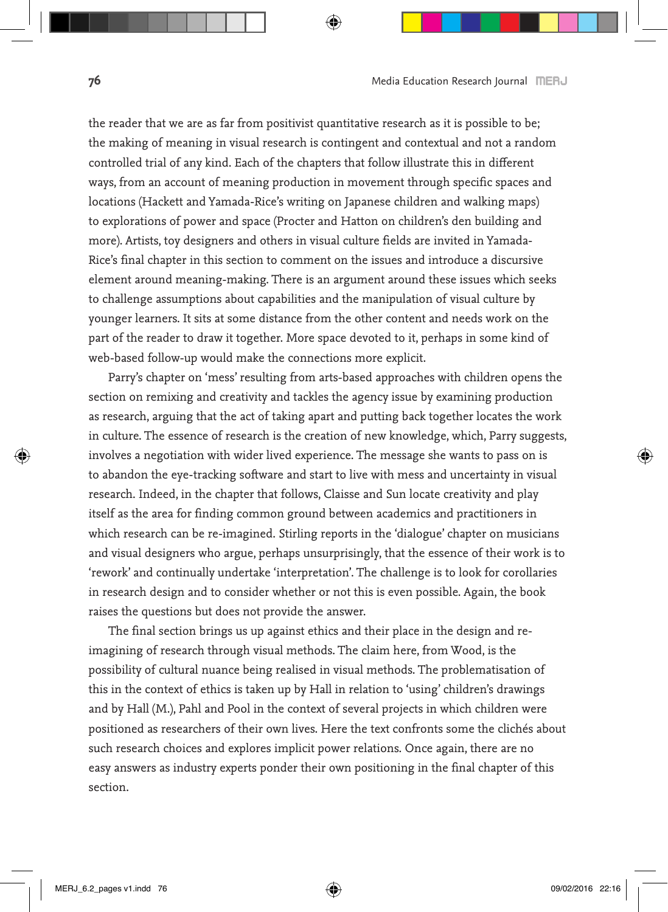the reader that we are as far from positivist quantitative research as it is possible to be; the making of meaning in visual research is contingent and contextual and not a random controlled trial of any kind. Each of the chapters that follow illustrate this in different ways, from an account of meaning production in movement through specific spaces and locations (Hackett and Yamada-Rice's writing on Japanese children and walking maps) to explorations of power and space (Procter and Hatton on children's den building and more). Artists, toy designers and others in visual culture fields are invited in Yamada-Rice's final chapter in this section to comment on the issues and introduce a discursive element around meaning-making. There is an argument around these issues which seeks to challenge assumptions about capabilities and the manipulation of visual culture by younger learners. It sits at some distance from the other content and needs work on the part of the reader to draw it together. More space devoted to it, perhaps in some kind of web-based follow-up would make the connections more explicit.

Parry's chapter on 'mess' resulting from arts-based approaches with children opens the section on remixing and creativity and tackles the agency issue by examining production as research, arguing that the act of taking apart and putting back together locates the work in culture. The essence of research is the creation of new knowledge, which, Parry suggests, involves a negotiation with wider lived experience. The message she wants to pass on is to abandon the eye-tracking software and start to live with mess and uncertainty in visual research. Indeed, in the chapter that follows, Claisse and Sun locate creativity and play itself as the area for finding common ground between academics and practitioners in which research can be re-imagined. Stirling reports in the 'dialogue' chapter on musicians and visual designers who argue, perhaps unsurprisingly, that the essence of their work is to 'rework' and continually undertake 'interpretation'. The challenge is to look for corollaries in research design and to consider whether or not this is even possible. Again, the book raises the questions but does not provide the answer.

The final section brings us up against ethics and their place in the design and reimagining of research through visual methods. The claim here, from Wood, is the possibility of cultural nuance being realised in visual methods. The problematisation of this in the context of ethics is taken up by Hall in relation to 'using' children's drawings and by Hall (M.), Pahl and Pool in the context of several projects in which children were positioned as researchers of their own lives. Here the text confronts some the clichés about such research choices and explores implicit power relations. Once again, there are no easy answers as industry experts ponder their own positioning in the final chapter of this section.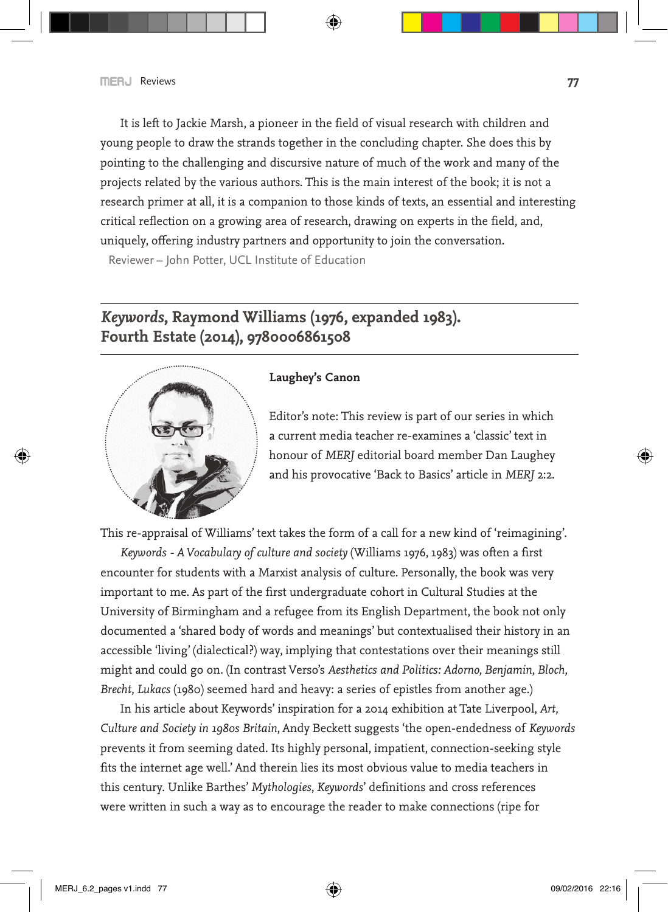It is left to Jackie Marsh, a pioneer in the field of visual research with children and young people to draw the strands together in the concluding chapter. She does this by pointing to the challenging and discursive nature of much of the work and many of the projects related by the various authors. This is the main interest of the book; it is not a research primer at all, it is a companion to those kinds of texts, an essential and interesting critical reflection on a growing area of research, drawing on experts in the field, and, uniquely, offering industry partners and opportunity to join the conversation.

Reviewer – John Potter, UCL Institute of Education

## *Keywords***, Raymond Williams (1976, expanded 1983). Fourth Estate (2014), 9780006861508**



#### **Laughey's Canon**

Editor's note: This review is part of our series in which a current media teacher re-examines a 'classic' text in honour of *MERJ* editorial board member Dan Laughey and his provocative 'Back to Basics' article in *MERJ* 2:2.

This re-appraisal of Williams' text takes the form of a call for a new kind of 'reimagining'.

*Keywords - A Vocabulary of culture and society* (Williams 1976, 1983) was often a first encounter for students with a Marxist analysis of culture. Personally, the book was very important to me. As part of the first undergraduate cohort in Cultural Studies at the University of Birmingham and a refugee from its English Department, the book not only documented a 'shared body of words and meanings' but contextualised their history in an accessible 'living' (dialectical?) way, implying that contestations over their meanings still might and could go on. (In contrast Verso's *Aesthetics and Politics: Adorno, Benjamin, Bloch, Brecht, Lukacs* (1980) seemed hard and heavy: a series of epistles from another age.)

In his article about Keywords' inspiration for a 2014 exhibition at Tate Liverpool, *Art, Culture and Society in 1980s Britain*, Andy Beckett suggests 'the open-endedness of *Keywords* prevents it from seeming dated. Its highly personal, impatient, connection-seeking style fits the internet age well.' And therein lies its most obvious value to media teachers in this century. Unlike Barthes' *Mythologies*, *Keywords*' definitions and cross references were written in such a way as to encourage the reader to make connections (ripe for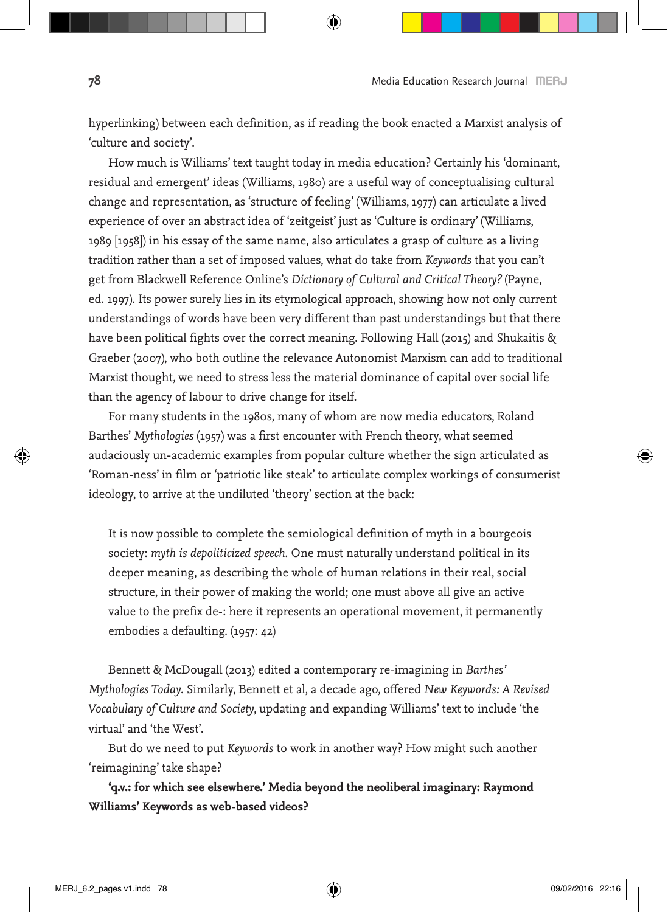hyperlinking) between each definition, as if reading the book enacted a Marxist analysis of 'culture and society'.

How much is Williams' text taught today in media education? Certainly his 'dominant, residual and emergent' ideas (Williams, 1980) are a useful way of conceptualising cultural change and representation, as 'structure of feeling' (Williams, 1977) can articulate a lived experience of over an abstract idea of 'zeitgeist' just as 'Culture is ordinary' (Williams, 1989 [1958]) in his essay of the same name, also articulates a grasp of culture as a living tradition rather than a set of imposed values, what do take from *Keywords* that you can't get from Blackwell Reference Online's *Dictionary of Cultural and Critical Theory?* (Payne, ed. 1997). Its power surely lies in its etymological approach, showing how not only current understandings of words have been very different than past understandings but that there have been political fights over the correct meaning. Following Hall (2015) and Shukaitis & Graeber (2007), who both outline the relevance Autonomist Marxism can add to traditional Marxist thought, we need to stress less the material dominance of capital over social life than the agency of labour to drive change for itself.

For many students in the 1980s, many of whom are now media educators, Roland Barthes' *Mythologies* (1957) was a first encounter with French theory, what seemed audaciously un-academic examples from popular culture whether the sign articulated as 'Roman-ness' in film or 'patriotic like steak' to articulate complex workings of consumerist ideology, to arrive at the undiluted 'theory' section at the back:

It is now possible to complete the semiological definition of myth in a bourgeois society: *myth is depoliticized speech*. One must naturally understand political in its deeper meaning, as describing the whole of human relations in their real, social structure, in their power of making the world; one must above all give an active value to the prefix de-: here it represents an operational movement, it permanently embodies a defaulting. (1957: 42)

Bennett & McDougall (2013) edited a contemporary re-imagining in *Barthes' Mythologies Today*. Similarly, Bennett et al, a decade ago, offered *New Keywords: A Revised Vocabulary of Culture and Society*, updating and expanding Williams' text to include 'the virtual' and 'the West'.

But do we need to put *Keywords* to work in another way? How might such another 'reimagining' take shape?

**'q.v.: for which see elsewhere.' Media beyond the neoliberal imaginary: Raymond Williams' Keywords as web-based videos?**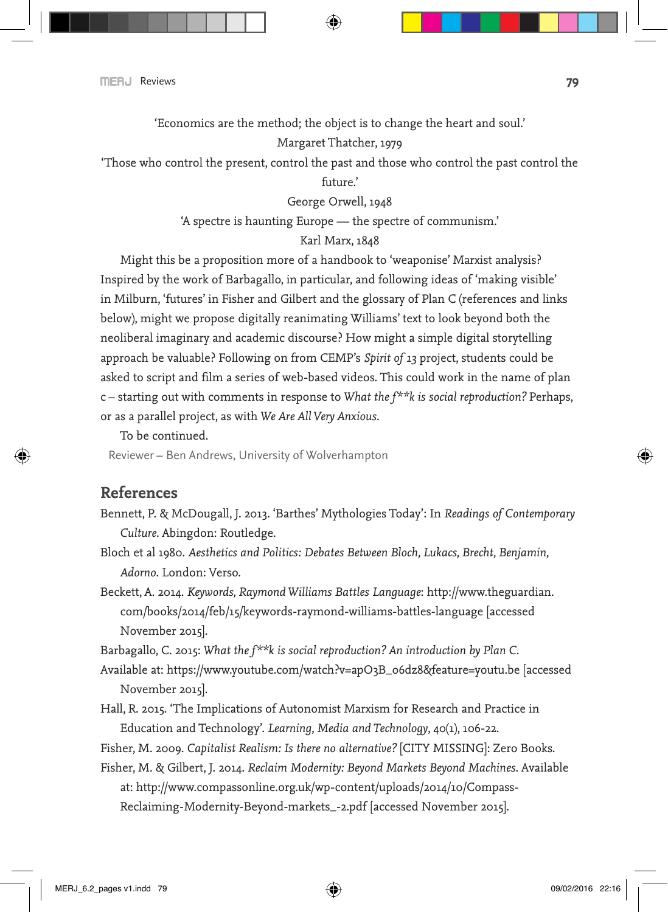'Economics are the method; the object is to change the heart and soul.'

#### Margaret Thatcher, 1979

'Those who control the present, control the past and those who control the past control the future.'

George Orwell, 1948

'A spectre is haunting Europe — the spectre of communism.'

#### Karl Marx, 1848

Might this be a proposition more of a handbook to 'weaponise' Marxist analysis? Inspired by the work of Barbagallo, in particular, and following ideas of 'making visible' in Milburn, 'futures' in Fisher and Gilbert and the glossary of Plan C (references and links below), might we propose digitally reanimating Williams' text to look beyond both the neoliberal imaginary and academic discourse? How might a simple digital storytelling approach be valuable? Following on from CEMP's *Spirit of 13* project, students could be asked to script and film a series of web-based videos. This could work in the name of plan c – starting out with comments in response to *What the f\*\*k is social reproduction?* Perhaps, or as a parallel project, as with *We Are All Very Anxious*.

To be continued.

Reviewer – Ben Andrews, University of Wolverhampton

### **References**

- Bennett, P. & McDougall, J. 2013. 'Barthes' Mythologies Today': In *Readings of Contemporary Culture*. Abingdon: Routledge.
- Bloch et al 1980. *Aesthetics and Politics: Debates Between Bloch, Lukacs, Brecht, Benjamin, Adorno*. London: Verso.
- Beckett, A. 2014. *Keywords, Raymond Williams Battles Language*: http://www.theguardian. com/books/2014/feb/15/keywords-raymond-williams-battles-language [accessed November 2015].

Barbagallo, C. 2015: *What the f\*\*k is social reproduction? An introduction by Plan C*.

- Available at: https://www.youtube.com/watch?v=apO3B\_o6dz8&feature=youtu.be [accessed November 2015].
- Hall, R. 2015. 'The Implications of Autonomist Marxism for Research and Practice in Education and Technology'. *Learning, Media and Technology*, 40(1), 106-22.

Fisher, M. 2009. *Capitalist Realism: Is there no alternative?* [CITY MISSING]: Zero Books.

Fisher, M. & Gilbert, J. 2014. *Reclaim Modernity: Beyond Markets Beyond Machines*. Available at: http://www.compassonline.org.uk/wp-content/uploads/2014/10/Compass-Reclaiming-Modernity-Beyond-markets\_-2.pdf [accessed November 2015].